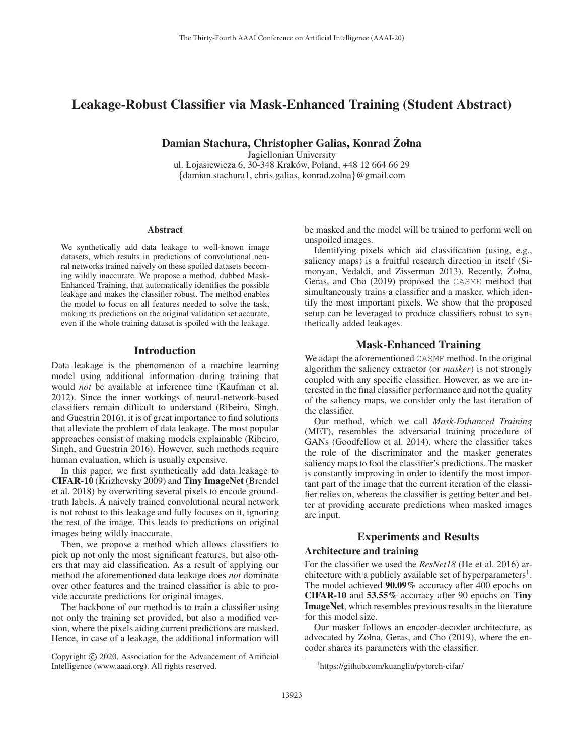# Leakage-Robust Classifier via Mask-Enhanced Training (Student Abstract)

Damian Stachura, Christopher Galias, Konrad Zołna ˙

Jagiellonian University

ul. Łojasiewicza 6, 30-348 Kraków, Poland, +48 12 664 66 29 {damian.stachura1, chris.galias, konrad.zolna}@gmail.com

#### Abstract

We synthetically add data leakage to well-known image datasets, which results in predictions of convolutional neural networks trained naively on these spoiled datasets becoming wildly inaccurate. We propose a method, dubbed Mask-Enhanced Training, that automatically identifies the possible leakage and makes the classifier robust. The method enables the model to focus on all features needed to solve the task, making its predictions on the original validation set accurate, even if the whole training dataset is spoiled with the leakage.

### Introduction

Data leakage is the phenomenon of a machine learning model using additional information during training that would *not* be available at inference time (Kaufman et al. 2012). Since the inner workings of neural-network-based classifiers remain difficult to understand (Ribeiro, Singh, and Guestrin 2016), it is of great importance to find solutions that alleviate the problem of data leakage. The most popular approaches consist of making models explainable (Ribeiro, Singh, and Guestrin 2016). However, such methods require human evaluation, which is usually expensive.

In this paper, we first synthetically add data leakage to CIFAR-10 (Krizhevsky 2009) and Tiny ImageNet (Brendel et al. 2018) by overwriting several pixels to encode groundtruth labels. A naively trained convolutional neural network is not robust to this leakage and fully focuses on it, ignoring the rest of the image. This leads to predictions on original images being wildly inaccurate.

Then, we propose a method which allows classifiers to pick up not only the most significant features, but also others that may aid classification. As a result of applying our method the aforementioned data leakage does *not* dominate over other features and the trained classifier is able to provide accurate predictions for original images.

The backbone of our method is to train a classifier using not only the training set provided, but also a modified version, where the pixels aiding current predictions are masked. Hence, in case of a leakage, the additional information will

be masked and the model will be trained to perform well on unspoiled images.

Identifying pixels which aid classification (using, e.g., saliency maps) is a fruitful research direction in itself (Simonyan, Vedaldi, and Zisserman 2013). Recently, Żołna, Geras, and Cho (2019) proposed the CASME method that simultaneously trains a classifier and a masker, which identify the most important pixels. We show that the proposed setup can be leveraged to produce classifiers robust to synthetically added leakages.

### Mask-Enhanced Training

We adapt the aforementioned CASME method. In the original algorithm the saliency extractor (or *masker*) is not strongly coupled with any specific classifier. However, as we are interested in the final classifier performance and not the quality of the saliency maps, we consider only the last iteration of the classifier.

Our method, which we call *Mask-Enhanced Training* (MET), resembles the adversarial training procedure of GANs (Goodfellow et al. 2014), where the classifier takes the role of the discriminator and the masker generates saliency maps to fool the classifier's predictions. The masker is constantly improving in order to identify the most important part of the image that the current iteration of the classifier relies on, whereas the classifier is getting better and better at providing accurate predictions when masked images are input.

# Experiments and Results

# Architecture and training

For the classifier we used the *ResNet18* (He et al. 2016) architecture with a publicly available set of hyperparameters<sup>1</sup>. The model achieved 90.09% accuracy after 400 epochs on CIFAR-10 and 53.55% accuracy after 90 epochs on Tiny ImageNet, which resembles previous results in the literature for this model size.

Our masker follows an encoder-decoder architecture, as advocated by  $\dot{Z}$ ołna, Geras, and Cho (2019), where the encoder shares its parameters with the classifier.

Copyright  $\odot$  2020, Association for the Advancement of Artificial Intelligence (www.aaai.org). All rights reserved.

<sup>1</sup> https://github.com/kuangliu/pytorch-cifar/